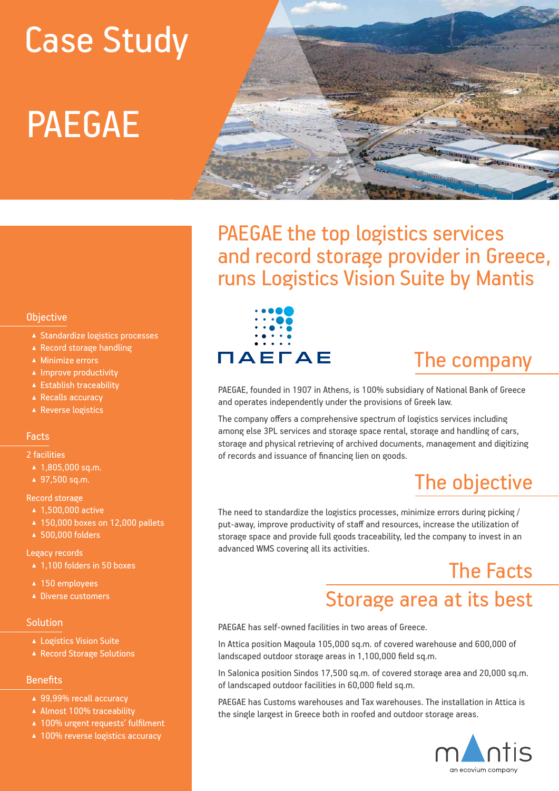# PAEGAE Case Study



PAEGAE the top logistics services and record storage provider in Greece, runs Logistics Vision Suite by Mantis

## **Objective**

- ▲ Standardize logistics processes
- ▲ Record storage handling
- ▲ Minimize errors
- ▲ Improve productivity
- ▲ Establish traceability
- ▲ Recalls accuracy
- ▲ Reverse logistics

## Facts

#### 2 facilities

- ▲ 1,805,000 sq.m.
- ▲ 97,500 sq.m.

## Record storage

- ▲ 1.500,000 active
- ▲ 150,000 boxes on 12,000 pallets
- ▲ 500,000 folders

## Legacy records

- 1,100 folders in 50 boxes
- ▲ 150 employees
- ▲ Diverse customers

## **Solution**

- ▲ Logistics Vision Suite
- ▲ Record Storage Solutions

## **Benefits**

- ▲ 99,99% recall accuracy
- ▲ Almost 100% traceability
- ▲ 100% urgent requests' fulfilment
- ▲ 100% reverse logistics accuracy



## The company

PAEGAE, founded in 1907 in Athens, is 100% subsidiary of National Bank of Greece and operates independently under the provisions of Greek law.

The company offers a comprehensive spectrum of logistics services including among else 3PL services and storage space rental, storage and handling of cars, storage and physical retrieving of archived documents, management and digitizing of records and issuance of financing lien on goods.

# The objective

The need to standardize the logistics processes, minimize errors during picking / put-away, improve productivity of staff and resources, increase the utilization of storage space and provide full goods traceability, led the company to invest in an advanced WMS covering all its activities.

# The Facts Storage area at its best

PAEGAE has self-owned facilities in two areas of Greece.

In Attica position Magoula 105,000 sq.m. of covered warehouse and 600,000 of landscaped outdoor storage areas in 1,100,000 field sq.m.

In Salonica position Sindos 17,500 sq.m. of covered storage area and 20,000 sq.m. of landscaped outdoor facilities in 60,000 field sq.m.

PAEGAE has Customs warehouses and Tax warehouses. The installation in Attica is the single largest in Greece both in roofed and outdoor storage areas.

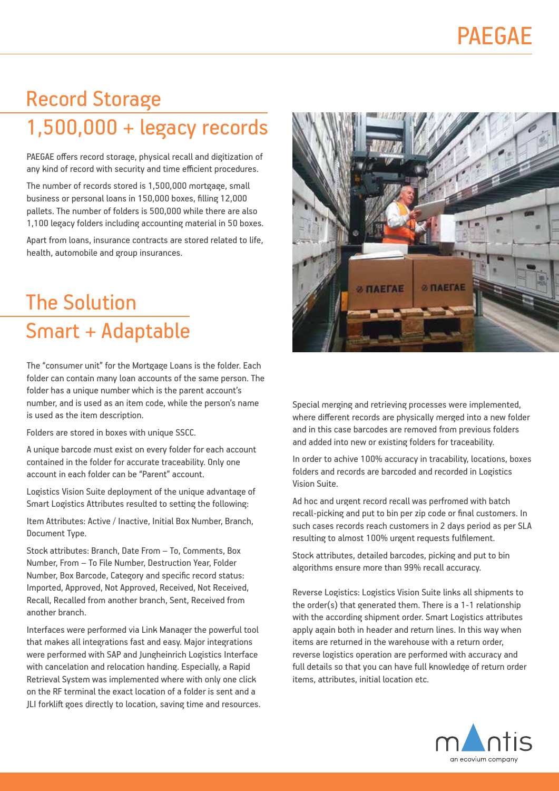# Record Storage 1,500,000 + legacy records

PAEGAE offers record storage, physical recall and digitization of any kind of record with security and time efficient procedures.

The number of records stored is 1,500,000 mortgage, small business or personal loans in 150,000 boxes, filling 12,000 pallets. The number of folders is 500,000 while there are also 1,100 legacy folders including accounting material in 50 boxes.

Apart from loans, insurance contracts are stored related to life, health, automobile and group insurances.

# The Solution Smart + Adaptable

The "consumer unit" for the Mortgage Loans is the folder. Each folder can contain many loan accounts of the same person. The folder has a unique number which is the parent account's number, and is used as an item code, while the person's name is used as the item description.

Folders are stored in boxes with unique SSCC.

A unique barcode must exist on every folder for each account contained in the folder for accurate traceability. Only one account in each folder can be "Parent" account.

Logistics Vision Suite deployment of the unique advantage of Smart Logistics Attributes resulted to setting the following:

Item Attributes: Active / Inactive, Initial Box Number, Branch, Document Type.

Stock attributes: Branch, Date From – To, Comments, Box Number, From – To File Number, Destruction Year, Folder Number, Box Barcode, Category and specific record status: Imported, Approved, Not Approved, Received, Not Received, Recall, Recalled from another branch, Sent, Received from another branch.

Interfaces were performed via Link Manager the powerful tool that makes all integrations fast and easy. Major integrations were performed with SAP and Jungheinrich Logistics Interface with cancelation and relocation handing. Especially, a Rapid Retrieval System was implemented where with only one click on the RF terminal the exact location of a folder is sent and a JLI forklift goes directly to location, saving time and resources.



Special merging and retrieving processes were implemented, where different records are physically merged into a new folder and in this case barcodes are removed from previous folders and added into new or existing folders for traceability.

In order to achive 100% accuracy in tracability, locations, boxes folders and records are barcoded and recorded in Logistics Vision Suite.

Ad hoc and urgent record recall was perfromed with batch recall-picking and put to bin per zip code or final customers. In such cases records reach customers in 2 days period as per SLA resulting to almost 100% urgent requests fulfilement.

Stock attributes, detailed barcodes, picking and put to bin algorithms ensure more than 99% recall accuracy.

Reverse Logistics: Logistics Vision Suite links all shipments to the order(s) that generated them. There is a 1-1 relationship with the according shipment order. Smart Logistics attributes apply again both in header and return lines. In this way when items are returned in the warehouse with a return order, reverse logistics operation are performed with accuracy and full details so that you can have full knowledge of return order items, attributes, initial location etc.

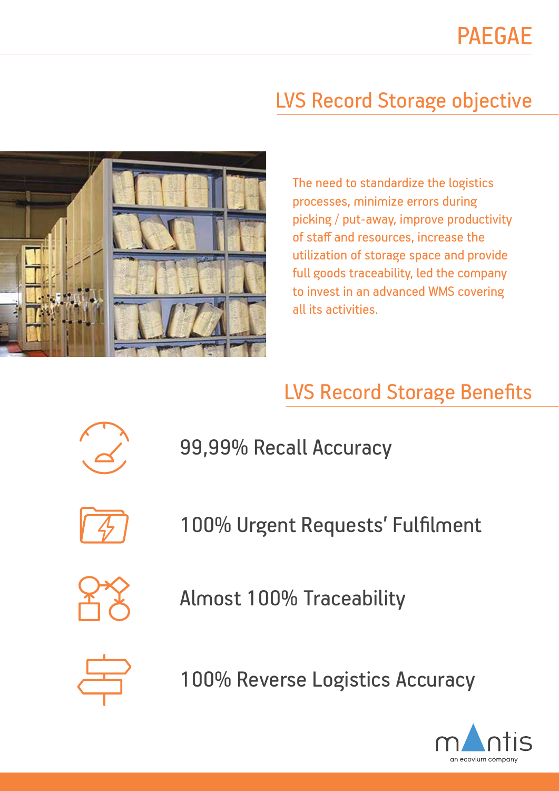# LVS Record Storage objective



The need to standardize the logistics processes, minimize errors during picking / put-away, improve productivity of staff and resources, increase the utilization of storage space and provide full goods traceability, led the company to invest in an advanced WMS covering all its activities.

# LVS Record Storage Benefits



99,99% Recall Accuracy

100% Urgent Requests' Fulfilment

Almost 100% Traceability



100% Reverse Logistics Accuracy